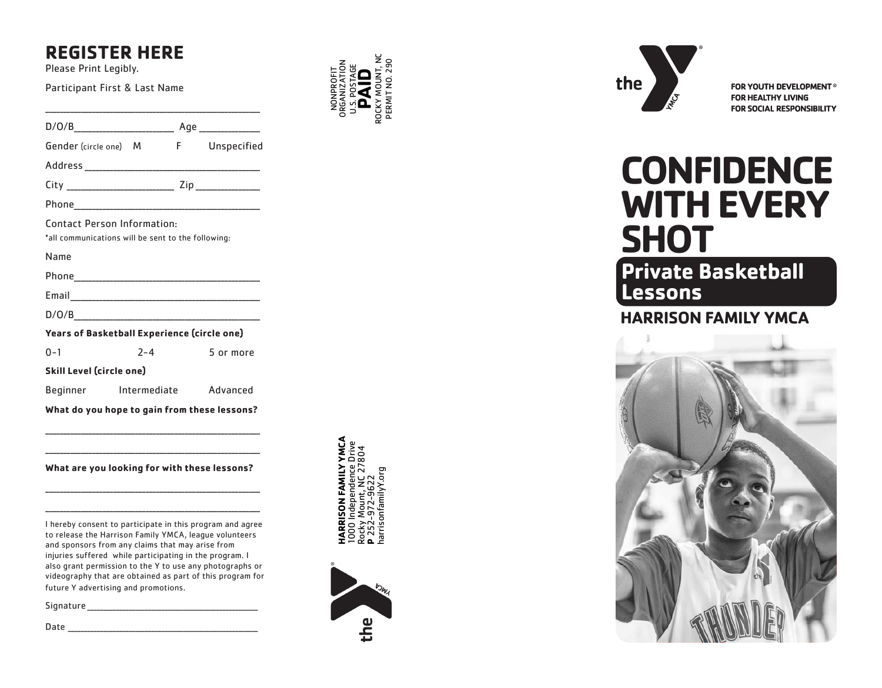# **REGISTER HERE**

Please Print Legibly.

Participant First & Last Name

| Gender (circle one) M                                                                                                                                                                                                                                                                                                                                       |         |  | F Unspecified |
|-------------------------------------------------------------------------------------------------------------------------------------------------------------------------------------------------------------------------------------------------------------------------------------------------------------------------------------------------------------|---------|--|---------------|
|                                                                                                                                                                                                                                                                                                                                                             |         |  |               |
|                                                                                                                                                                                                                                                                                                                                                             |         |  |               |
|                                                                                                                                                                                                                                                                                                                                                             |         |  |               |
| <b>Contact Person Information:</b><br>*all communications will be sent to the following:                                                                                                                                                                                                                                                                    |         |  |               |
| Name                                                                                                                                                                                                                                                                                                                                                        |         |  |               |
|                                                                                                                                                                                                                                                                                                                                                             |         |  |               |
|                                                                                                                                                                                                                                                                                                                                                             |         |  |               |
|                                                                                                                                                                                                                                                                                                                                                             |         |  |               |
| Years of Basketball Experience (circle one)                                                                                                                                                                                                                                                                                                                 |         |  |               |
| $0 - 1$                                                                                                                                                                                                                                                                                                                                                     | $2 - 4$ |  | 5 or more     |
| <b>Skill Level (circle one)</b>                                                                                                                                                                                                                                                                                                                             |         |  |               |
| Beginner Intermediate                                                                                                                                                                                                                                                                                                                                       |         |  | Advanced      |
| What do you hope to gain from these lessons?                                                                                                                                                                                                                                                                                                                |         |  |               |
|                                                                                                                                                                                                                                                                                                                                                             |         |  |               |
| What are you looking for with these lessons?                                                                                                                                                                                                                                                                                                                |         |  |               |
|                                                                                                                                                                                                                                                                                                                                                             |         |  |               |
|                                                                                                                                                                                                                                                                                                                                                             |         |  |               |
| I hereby consent to participate in this program and agree<br>to release the Harrison Family YMCA, league volunteers<br>and sponsors from any claims that may arise from<br>injuries suffered while participating in the program. I<br>also grant permission to the Y to use any photographs or<br>videography that are obtained as part of this program for |         |  |               |

future Y advertising and promotions.

Signature \_\_\_\_\_\_\_\_\_\_\_\_\_\_\_\_\_\_\_\_\_\_\_\_\_\_\_\_\_\_\_\_\_\_\_\_\_\_\_\_\_\_\_\_\_\_\_\_\_\_\_\_\_

Date \_\_\_\_\_\_\_\_\_\_\_\_\_\_\_\_\_\_\_\_\_\_\_\_\_\_\_\_\_\_\_\_\_\_\_\_\_\_\_\_\_\_\_\_\_\_\_\_\_\_\_\_\_\_\_\_\_\_\_





FOR YOUTH DEVELOPMENT<sup>®</sup> **FOR HEALTHY LIVING** FOR SOCIAL RESPONSIBILITY

# **CONFIDENCE WITH EVERY SHOT**

**Private Basketball Lessons**

#### **HARRISON FAMILY YMCA**



**ON FAMILY YMCA**<br>dependence Drive<br>ount, NC 27804<br>72-9622 **HARRISON FAMILY YMCA** 1000 Independence Drive Rocky Mount, NC 27804 harrisonfamilyY.org **P** 252-972-9622 harr